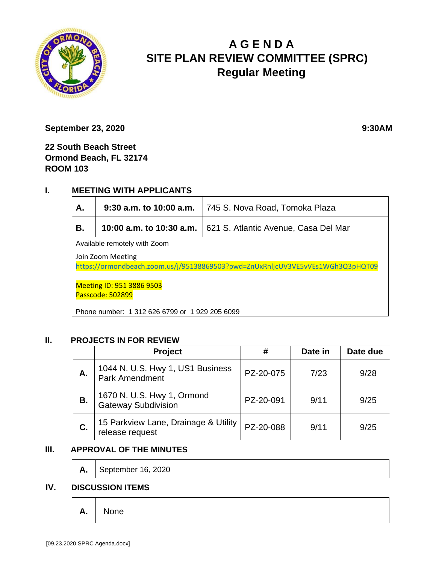

# **A G E N D A SITE PLAN REVIEW COMMITTEE (SPRC) Regular Meeting**

**September 23, 2020** 9:30AM

**22 South Beach Street Ormond Beach, FL 32174 ROOM 103**

## **I. MEETING WITH APPLICANTS**

| А.                                                                                                  | $9:30$ a.m. to 10:00 a.m. | 745 S. Nova Road, Tomoka Plaza       |  |  |  |
|-----------------------------------------------------------------------------------------------------|---------------------------|--------------------------------------|--|--|--|
| В.                                                                                                  | 10:00 a.m. to 10:30 a.m.  | 621 S. Atlantic Avenue, Casa Del Mar |  |  |  |
| Available remotely with Zoom                                                                        |                           |                                      |  |  |  |
| Join Zoom Meeting<br>https://ormondbeach.zoom.us/j/95138869503?pwd=ZnUxRnljcUV3VE5vVEs1WGh3Q3pHQT09 |                           |                                      |  |  |  |
| Meeting ID: 951 3886 9503<br>Passcode: 502899                                                       |                           |                                      |  |  |  |
| Phone number: 1 312 626 6799 or 1 929 205 6099                                                      |                           |                                      |  |  |  |

### **II. PROJECTS IN FOR REVIEW**

|    | Project                                                   | #         | Date in | Date due |
|----|-----------------------------------------------------------|-----------|---------|----------|
| А. | 1044 N. U.S. Hwy 1, US1 Business<br><b>Park Amendment</b> | PZ-20-075 | 7/23    | 9/28     |
| В. | 1670 N. U.S. Hwy 1, Ormond<br><b>Gateway Subdivision</b>  | PZ-20-091 | 9/11    | 9/25     |
| C. | 15 Parkview Lane, Drainage & Utility<br>release request   | PZ-20-088 | 9/11    | 9/25     |

### **III. APPROVAL OF THE MINUTES**

**A.** September 16, 2020

#### **IV. DISCUSSION ITEMS**

**A.** None